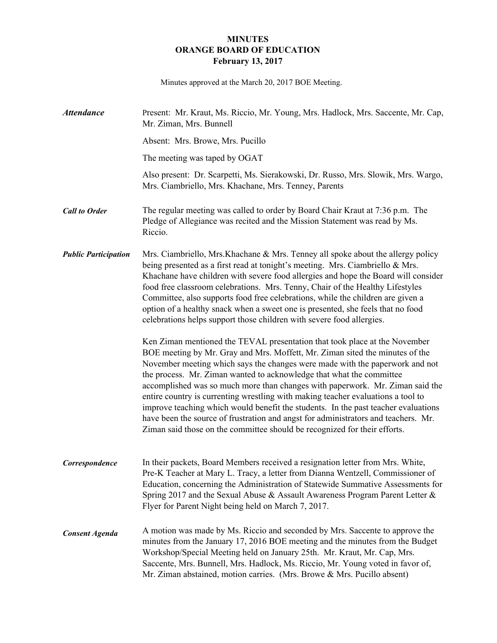## **MINUTES ORANGE BOARD OF EDUCATION February 13, 2017**

Minutes approved at the March 20, 2017 BOE Meeting.

| <b>Attendance</b>           | Present: Mr. Kraut, Ms. Riccio, Mr. Young, Mrs. Hadlock, Mrs. Saccente, Mr. Cap,<br>Mr. Ziman, Mrs. Bunnell                                                                                                                                                                                                                                                                                                                                                                                                                                                                                                                                                                                                                                      |
|-----------------------------|--------------------------------------------------------------------------------------------------------------------------------------------------------------------------------------------------------------------------------------------------------------------------------------------------------------------------------------------------------------------------------------------------------------------------------------------------------------------------------------------------------------------------------------------------------------------------------------------------------------------------------------------------------------------------------------------------------------------------------------------------|
|                             | Absent: Mrs. Browe, Mrs. Pucillo                                                                                                                                                                                                                                                                                                                                                                                                                                                                                                                                                                                                                                                                                                                 |
|                             | The meeting was taped by OGAT                                                                                                                                                                                                                                                                                                                                                                                                                                                                                                                                                                                                                                                                                                                    |
|                             | Also present: Dr. Scarpetti, Ms. Sierakowski, Dr. Russo, Mrs. Slowik, Mrs. Wargo,<br>Mrs. Ciambriello, Mrs. Khachane, Mrs. Tenney, Parents                                                                                                                                                                                                                                                                                                                                                                                                                                                                                                                                                                                                       |
| <b>Call to Order</b>        | The regular meeting was called to order by Board Chair Kraut at 7:36 p.m. The<br>Pledge of Allegiance was recited and the Mission Statement was read by Ms.<br>Riccio.                                                                                                                                                                                                                                                                                                                                                                                                                                                                                                                                                                           |
| <b>Public Participation</b> | Mrs. Ciambriello, Mrs. Khachane & Mrs. Tenney all spoke about the allergy policy<br>being presented as a first read at tonight's meeting. Mrs. Ciambriello & Mrs.<br>Khachane have children with severe food allergies and hope the Board will consider<br>food free classroom celebrations. Mrs. Tenny, Chair of the Healthy Lifestyles<br>Committee, also supports food free celebrations, while the children are given a<br>option of a healthy snack when a sweet one is presented, she feels that no food<br>celebrations helps support those children with severe food allergies.                                                                                                                                                          |
|                             | Ken Ziman mentioned the TEVAL presentation that took place at the November<br>BOE meeting by Mr. Gray and Mrs. Moffett, Mr. Ziman sited the minutes of the<br>November meeting which says the changes were made with the paperwork and not<br>the process. Mr. Ziman wanted to acknowledge that what the committee<br>accomplished was so much more than changes with paperwork. Mr. Ziman said the<br>entire country is currenting wrestling with making teacher evaluations a tool to<br>improve teaching which would benefit the students. In the past teacher evaluations<br>have been the source of frustration and angst for administrators and teachers. Mr.<br>Ziman said those on the committee should be recognized for their efforts. |
| Correspondence              | In their packets, Board Members received a resignation letter from Mrs. White,<br>Pre-K Teacher at Mary L. Tracy, a letter from Dianna Wentzell, Commissioner of<br>Education, concerning the Administration of Statewide Summative Assessments for<br>Spring 2017 and the Sexual Abuse & Assault Awareness Program Parent Letter &<br>Flyer for Parent Night being held on March 7, 2017.                                                                                                                                                                                                                                                                                                                                                       |
| <b>Consent Agenda</b>       | A motion was made by Ms. Riccio and seconded by Mrs. Saccente to approve the<br>minutes from the January 17, 2016 BOE meeting and the minutes from the Budget<br>Workshop/Special Meeting held on January 25th. Mr. Kraut, Mr. Cap, Mrs.<br>Saccente, Mrs. Bunnell, Mrs. Hadlock, Ms. Riccio, Mr. Young voted in favor of,<br>Mr. Ziman abstained, motion carries. (Mrs. Browe & Mrs. Pucillo absent)                                                                                                                                                                                                                                                                                                                                            |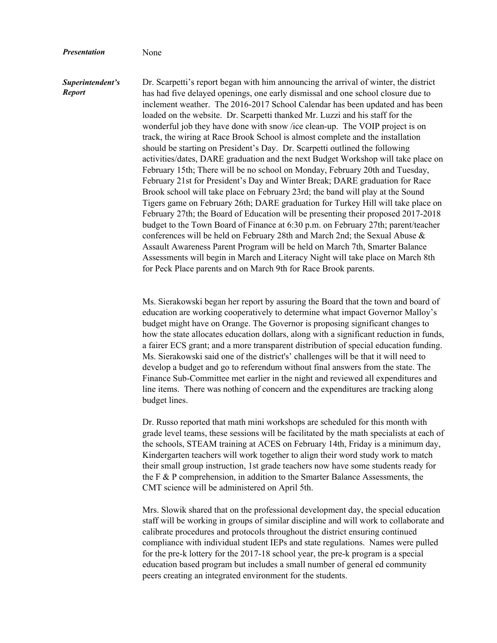## *Presentation* None

*Superintendent's Report* Dr. Scarpetti's report began with him announcing the arrival of winter, the district has had five delayed openings, one early dismissal and one school closure due to inclement weather. The 2016-2017 School Calendar has been updated and has been loaded on the website. Dr. Scarpetti thanked Mr. Luzzi and his staff for the wonderful job they have done with snow /ice clean-up. The VOIP project is on track, the wiring at Race Brook School is almost complete and the installation should be starting on President's Day. Dr. Scarpetti outlined the following activities/dates, DARE graduation and the next Budget Workshop will take place on February 15th; There will be no school on Monday, February 20th and Tuesday, February 21st for President's Day and Winter Break; DARE graduation for Race Brook school will take place on February 23rd; the band will play at the Sound Tigers game on February 26th; DARE graduation for Turkey Hill will take place on February 27th; the Board of Education will be presenting their proposed 2017-2018 budget to the Town Board of Finance at 6:30 p.m. on February 27th; parent/teacher conferences will be held on February 28th and March 2nd; the Sexual Abuse & Assault Awareness Parent Program will be held on March 7th, Smarter Balance Assessments will begin in March and Literacy Night will take place on March 8th for Peck Place parents and on March 9th for Race Brook parents.

> Ms. Sierakowski began her report by assuring the Board that the town and board of education are working cooperatively to determine what impact Governor Malloy's budget might have on Orange. The Governor is proposing significant changes to how the state allocates education dollars, along with a significant reduction in funds, a fairer ECS grant; and a more transparent distribution of special education funding. Ms. Sierakowski said one of the district's' challenges will be that it will need to develop a budget and go to referendum without final answers from the state. The Finance Sub-Committee met earlier in the night and reviewed all expenditures and line items. There was nothing of concern and the expenditures are tracking along budget lines.

> Dr. Russo reported that math mini workshops are scheduled for this month with grade level teams, these sessions will be facilitated by the math specialists at each of the schools, STEAM training at ACES on February 14th, Friday is a minimum day, Kindergarten teachers will work together to align their word study work to match their small group instruction, 1st grade teachers now have some students ready for the F & P comprehension, in addition to the Smarter Balance Assessments, the CMT science will be administered on April 5th.

> Mrs. Slowik shared that on the professional development day, the special education staff will be working in groups of similar discipline and will work to collaborate and calibrate procedures and protocols throughout the district ensuring continued compliance with individual student IEPs and state regulations. Names were pulled for the pre-k lottery for the 2017-18 school year, the pre-k program is a special education based program but includes a small number of general ed community peers creating an integrated environment for the students.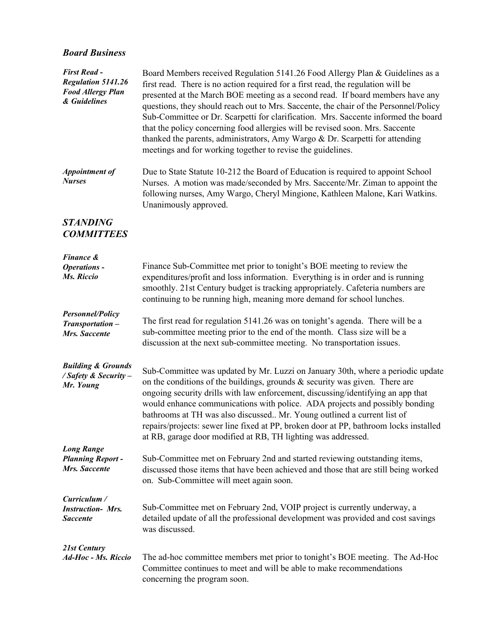## *Board Business*

| <b>First Read -</b><br><b>Regulation 5141.26</b><br><b>Food Allergy Plan</b><br>& Guidelines | Board Members received Regulation 5141.26 Food Allergy Plan & Guidelines as a<br>first read. There is no action required for a first read, the regulation will be<br>presented at the March BOE meeting as a second read. If board members have any<br>questions, they should reach out to Mrs. Saccente, the chair of the Personnel/Policy<br>Sub-Committee or Dr. Scarpetti for clarification. Mrs. Saccente informed the board<br>that the policy concerning food allergies will be revised soon. Mrs. Saccente<br>thanked the parents, administrators, Amy Wargo & Dr. Scarpetti for attending<br>meetings and for working together to revise the guidelines. |
|----------------------------------------------------------------------------------------------|-------------------------------------------------------------------------------------------------------------------------------------------------------------------------------------------------------------------------------------------------------------------------------------------------------------------------------------------------------------------------------------------------------------------------------------------------------------------------------------------------------------------------------------------------------------------------------------------------------------------------------------------------------------------|
| <b>Appointment of</b><br><b>Nurses</b>                                                       | Due to State Statute 10-212 the Board of Education is required to appoint School<br>Nurses. A motion was made/seconded by Mrs. Saccente/Mr. Ziman to appoint the<br>following nurses, Amy Wargo, Cheryl Mingione, Kathleen Malone, Kari Watkins.<br>Unanimously approved.                                                                                                                                                                                                                                                                                                                                                                                         |
| <b>STANDING</b><br><b>COMMITTEES</b>                                                         |                                                                                                                                                                                                                                                                                                                                                                                                                                                                                                                                                                                                                                                                   |
| <b>Finance &amp;</b>                                                                         |                                                                                                                                                                                                                                                                                                                                                                                                                                                                                                                                                                                                                                                                   |
| <b>Operations -</b><br>Ms. Riccio                                                            | Finance Sub-Committee met prior to tonight's BOE meeting to review the<br>expenditures/profit and loss information. Everything is in order and is running<br>smoothly. 21st Century budget is tracking appropriately. Cafeteria numbers are<br>continuing to be running high, meaning more demand for school lunches.                                                                                                                                                                                                                                                                                                                                             |
| <b>Personnel/Policy</b><br>Transportation-<br>Mrs. Saccente                                  | The first read for regulation 5141.26 was on tonight's agenda. There will be a<br>sub-committee meeting prior to the end of the month. Class size will be a<br>discussion at the next sub-committee meeting. No transportation issues.                                                                                                                                                                                                                                                                                                                                                                                                                            |
| <b>Building &amp; Grounds</b><br>/ Safety & Security -<br>Mr. Young                          | Sub-Committee was updated by Mr. Luzzi on January 30th, where a periodic update<br>on the conditions of the buildings, grounds $&$ security was given. There are<br>ongoing security drills with law enforcement, discussing/identifying an app that<br>would enhance communications with police. ADA projects and possibly bonding<br>bathrooms at TH was also discussed Mr. Young outlined a current list of<br>repairs/projects: sewer line fixed at PP, broken door at PP, bathroom locks installed<br>at RB, garage door modified at RB, TH lighting was addressed.                                                                                          |
| <b>Long Range</b><br><b>Planning Report -</b><br>Mrs. Saccente                               | Sub-Committee met on February 2nd and started reviewing outstanding items,<br>discussed those items that have been achieved and those that are still being worked<br>on. Sub-Committee will meet again soon.                                                                                                                                                                                                                                                                                                                                                                                                                                                      |
| Curriculum /<br><b>Instruction- Mrs.</b><br>Saccente                                         | Sub-Committee met on February 2nd, VOIP project is currently underway, a<br>detailed update of all the professional development was provided and cost savings<br>was discussed.                                                                                                                                                                                                                                                                                                                                                                                                                                                                                   |
| 21st Century<br>Ad-Hoc - Ms. Riccio                                                          | The ad-hoc committee members met prior to tonight's BOE meeting. The Ad-Hoc<br>Committee continues to meet and will be able to make recommendations<br>concerning the program soon.                                                                                                                                                                                                                                                                                                                                                                                                                                                                               |